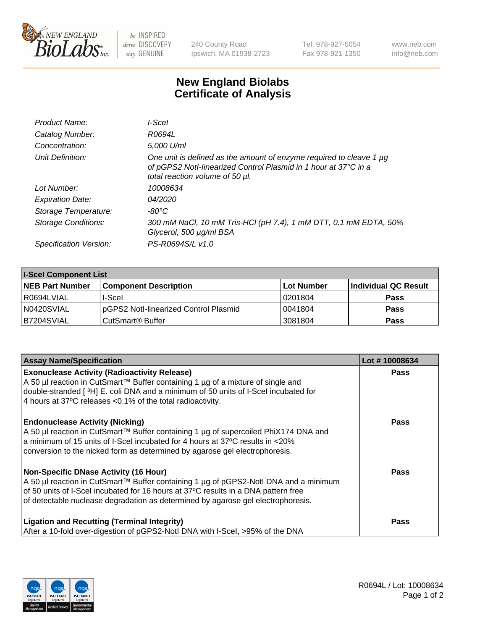

 $be$  INSPIRED drive DISCOVERY stay GENUINE

240 County Road Ipswich, MA 01938-2723 Tel 978-927-5054 Fax 978-921-1350 www.neb.com info@neb.com

## **New England Biolabs Certificate of Analysis**

| Product Name:              | l-Scel                                                                                                                                                                         |
|----------------------------|--------------------------------------------------------------------------------------------------------------------------------------------------------------------------------|
| Catalog Number:            | R0694L                                                                                                                                                                         |
| Concentration:             | 5,000 U/ml                                                                                                                                                                     |
| Unit Definition:           | One unit is defined as the amount of enzyme required to cleave 1 $\mu$ g<br>of pGPS2 Notl-linearized Control Plasmid in 1 hour at 37°C in a<br>total reaction volume of 50 µl. |
| Lot Number:                | 10008634                                                                                                                                                                       |
| <b>Expiration Date:</b>    | <i>04/2020</i>                                                                                                                                                                 |
| Storage Temperature:       | $-80^{\circ}$ C                                                                                                                                                                |
| <b>Storage Conditions:</b> | 300 mM NaCl, 10 mM Tris-HCl (pH 7.4), 1 mM DTT, 0.1 mM EDTA, 50%<br>Glycerol, 500 µg/ml BSA                                                                                    |
| Specification Version:     | PS-R0694S/L v1.0                                                                                                                                                               |

| <b>I-Scel Component List</b> |                                        |            |                      |  |
|------------------------------|----------------------------------------|------------|----------------------|--|
| <b>NEB Part Number</b>       | <b>Component Description</b>           | Lot Number | Individual QC Result |  |
| R0694LVIAL                   | I-Scel                                 | 10201804   | <b>Pass</b>          |  |
| N0420SVIAL                   | IpGPS2 Notl-linearized Control Plasmid | 10041804   | <b>Pass</b>          |  |
| B7204SVIAL                   | CutSmart <sup>®</sup> Buffer           | 3081804    | <b>Pass</b>          |  |

| <b>Assay Name/Specification</b>                                                                                                                                                                                                                                                                                | Lot #10008634 |
|----------------------------------------------------------------------------------------------------------------------------------------------------------------------------------------------------------------------------------------------------------------------------------------------------------------|---------------|
| <b>Exonuclease Activity (Radioactivity Release)</b><br>A 50 µl reaction in CutSmart™ Buffer containing 1 µg of a mixture of single and<br>double-stranded [3H] E. coli DNA and a minimum of 50 units of I-Scel incubated for<br>4 hours at 37°C releases < 0.1% of the total radioactivity.                    | <b>Pass</b>   |
| <b>Endonuclease Activity (Nicking)</b><br>A 50 µl reaction in CutSmart™ Buffer containing 1 µg of supercoiled PhiX174 DNA and<br>$\vert$ a minimum of 15 units of I-Scel incubated for 4 hours at 37°C results in <20%<br>conversion to the nicked form as determined by agarose gel electrophoresis.          | Pass          |
| <b>Non-Specific DNase Activity (16 Hour)</b><br>A 50 µl reaction in CutSmart™ Buffer containing 1 µg of pGPS2-Notl DNA and a minimum<br>of 50 units of I-Scel incubated for 16 hours at 37°C results in a DNA pattern free<br>of detectable nuclease degradation as determined by agarose gel electrophoresis. | Pass          |
| <b>Ligation and Recutting (Terminal Integrity)</b><br>After a 10-fold over-digestion of pGPS2-Notl DNA with I-Scel, >95% of the DNA                                                                                                                                                                            | <b>Pass</b>   |